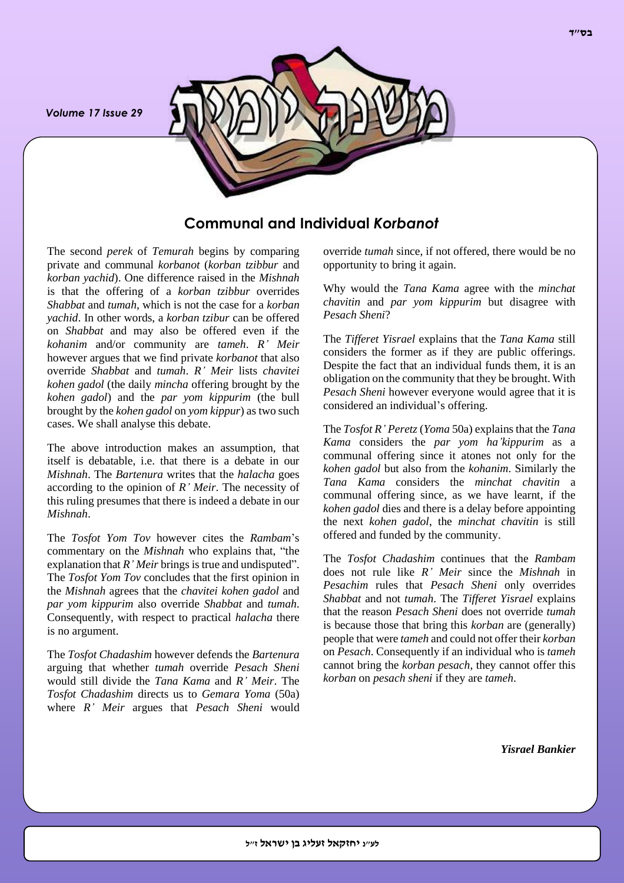*Volume 17 Issue 29*



# **Communal and Individual** *Korbanot*

The second *perek* of *Temurah* begins by comparing private and communal *korbanot* (*korban tzibbur* and *korban yachid*). One difference raised in the *Mishnah* is that the offering of a *korban tzibbur* overrides *Shabbat* and *tumah*, which is not the case for a *korban yachid*. In other words, a *korban tzibur* can be offered on *Shabbat* and may also be offered even if the *kohanim* and/or community are *tameh*. *R' Meir* however argues that we find private *korbanot* that also override *Shabbat* and *tumah*. *R' Meir* lists *chavitei kohen gadol* (the daily *mincha* offering brought by the *kohen gadol*) and the *par yom kippurim* (the bull brought by the *kohen gadol* on *yom kippur*) as two such cases. We shall analyse this debate.

The above introduction makes an assumption, that itself is debatable, i.e. that there is a debate in our *Mishnah*. The *Bartenura* writes that the *halacha* goes according to the opinion of *R' Meir*. The necessity of this ruling presumes that there is indeed a debate in our *Mishnah*.

The *Tosfot Yom Tov* however cites the *Rambam*'s commentary on the *Mishnah* who explains that, "the explanation that *R' Meir* brings is true and undisputed". The *Tosfot Yom Tov* concludes that the first opinion in the *Mishnah* agrees that the *chavitei kohen gadol* and *par yom kippurim* also override *Shabbat* and *tumah*. Consequently, with respect to practical *halacha* there is no argument.

The *Tosfot Chadashim* however defends the *Bartenura* arguing that whether *tumah* override *Pesach Sheni* would still divide the *Tana Kama* and *R' Meir*. The *Tosfot Chadashim* directs us to *Gemara Yoma* (50a) where *R' Meir* argues that *Pesach Sheni* would

override *tumah* since, if not offered, there would be no opportunity to bring it again.

Why would the *Tana Kama* agree with the *minchat chavitin* and *par yom kippurim* but disagree with *Pesach Sheni*?

The *Tifferet Yisrael* explains that the *Tana Kama* still considers the former as if they are public offerings. Despite the fact that an individual funds them, it is an obligation on the community that they be brought. With *Pesach Sheni* however everyone would agree that it is considered an individual's offering.

The *Tosfot R' Peretz* (*Yoma* 50a) explains that the *Tana Kama* considers the *par yom ha'kippurim* as a communal offering since it atones not only for the *kohen gadol* but also from the *kohanim*. Similarly the *Tana Kama* considers the *minchat chavitin* a communal offering since, as we have learnt, if the *kohen gadol* dies and there is a delay before appointing the next *kohen gadol*, the *minchat chavitin* is still offered and funded by the community.

The *Tosfot Chadashim* continues that the *Rambam* does not rule like *R' Meir* since the *Mishnah* in *Pesachim* rules that *Pesach Sheni* only overrides *Shabbat* and not *tumah*. The *Tifferet Yisrael* explains that the reason *Pesach Sheni* does not override *tumah* is because those that bring this *korban* are (generally) people that were *tameh* and could not offer their *korban* on *Pesach*. Consequently if an individual who is *tameh* cannot bring the *korban pesach*, they cannot offer this *korban* on *pesach sheni* if they are *tameh*.

*Yisrael Bankier*